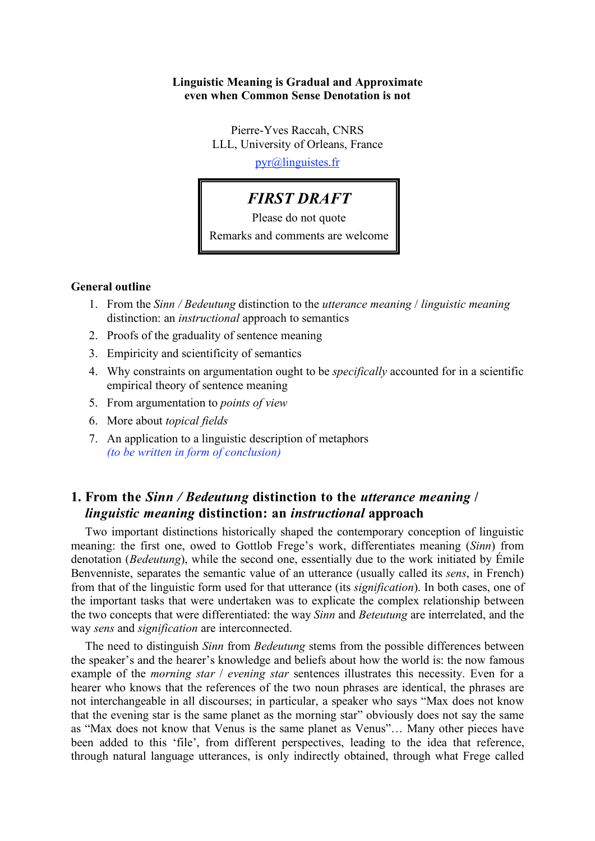# **Linguistic Meaning is Gradual and Approximate even when Common Sense Denotation is not**

Pierre-Yves Raccah, CNRS LLL, University of Orleans, France

pyr@linguistes.fr

# *FIRST DRAFT*

Please do not quote

Remarks and comments are welcome

# **General outline**

- 1. From the *Sinn / Bedeutung* distinction to the *utterance meaning* / *linguistic meaning* distinction: an *instructional* approach to semantics
- 2. Proofs of the graduality of sentence meaning
- 3. Empiricity and scientificity of semantics
- 4. Why constraints on argumentation ought to be *specifically* accounted for in a scientific empirical theory of sentence meaning
- 5. From argumentation to *points of view*
- 6. More about *topical fields*
- 7. An application to a linguistic description of metaphors *(to be written in form of conclusion)*

# **1. From the** *Sinn / Bedeutung* **distinction to the** *utterance meaning* **/** *linguistic meaning* **distinction: an** *instructional* **approach**

Two important distinctions historically shaped the contemporary conception of linguistic meaning: the first one, owed to Gottlob Frege's work, differentiates meaning (*Sinn*) from denotation (*Bedeutung*), while the second one, essentially due to the work initiated by Émile Benvenniste, separates the semantic value of an utterance (usually called its *sens*, in French) from that of the linguistic form used for that utterance (its *signification*). In both cases, one of the important tasks that were undertaken was to explicate the complex relationship between the two concepts that were differentiated: the way *Sinn* and *Beteutung* are interrelated, and the way *sens* and *signification* are interconnected.

The need to distinguish *Sinn* from *Bedeutung* stems from the possible differences between the speaker's and the hearer's knowledge and beliefs about how the world is: the now famous example of the *morning star* / *evening star* sentences illustrates this necessity. Even for a hearer who knows that the references of the two noun phrases are identical, the phrases are not interchangeable in all discourses; in particular, a speaker who says "Max does not know that the evening star is the same planet as the morning star" obviously does not say the same as "Max does not know that Venus is the same planet as Venus"… Many other pieces have been added to this 'file', from different perspectives, leading to the idea that reference, through natural language utterances, is only indirectly obtained, through what Frege called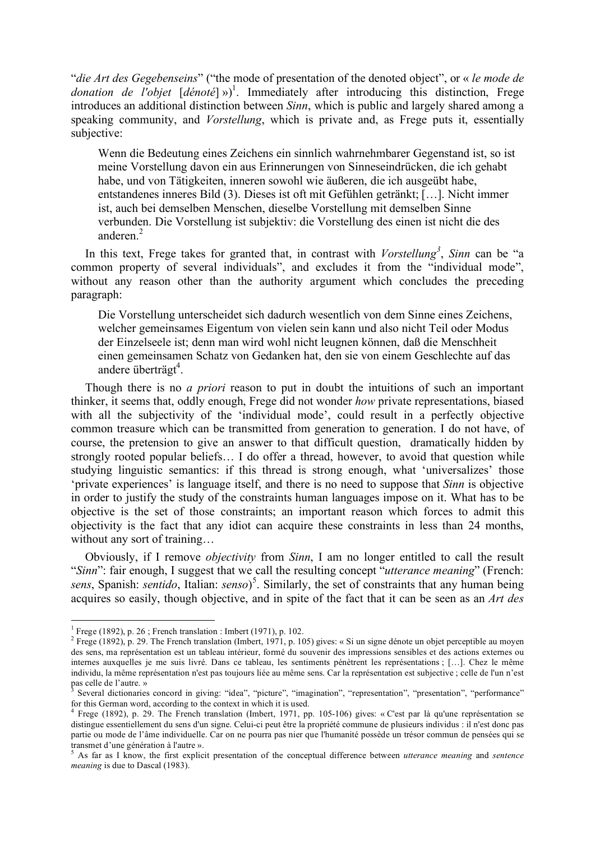"*die Art des Gegebenseins*" ("the mode of presentation of the denoted object", or « *le mode de*  donation de l'objet [dénoté]»)<sup>1</sup>. Immediately after introducing this distinction, Frege introduces an additional distinction between *Sinn*, which is public and largely shared among a speaking community, and *Vorstellung*, which is private and, as Frege puts it, essentially subjective:

Wenn die Bedeutung eines Zeichens ein sinnlich wahrnehmbarer Gegenstand ist, so ist meine Vorstellung davon ein aus Erinnerungen von Sinneseindrücken, die ich gehabt habe, und von Tätigkeiten, inneren sowohl wie äußeren, die ich ausgeübt habe, entstandenes inneres Bild (3). Dieses ist oft mit Gefühlen getränkt; […]. Nicht immer ist, auch bei demselben Menschen, dieselbe Vorstellung mit demselben Sinne verbunden. Die Vorstellung ist subjektiv: die Vorstellung des einen ist nicht die des anderen.<sup>2</sup>

In this text, Frege takes for granted that, in contrast with *Vorstellung<sup>3</sup>* , *Sinn* can be "a common property of several individuals", and excludes it from the "individual mode", without any reason other than the authority argument which concludes the preceding paragraph:

Die Vorstellung unterscheidet sich dadurch wesentlich von dem Sinne eines Zeichens, welcher gemeinsames Eigentum von vielen sein kann und also nicht Teil oder Modus der Einzelseele ist; denn man wird wohl nicht leugnen können, daß die Menschheit einen gemeinsamen Schatz von Gedanken hat, den sie von einem Geschlechte auf das andere überträgt $4$ .

Though there is no *a priori* reason to put in doubt the intuitions of such an important thinker, it seems that, oddly enough, Frege did not wonder *how* private representations, biased with all the subjectivity of the 'individual mode', could result in a perfectly objective common treasure which can be transmitted from generation to generation. I do not have, of course, the pretension to give an answer to that difficult question, dramatically hidden by strongly rooted popular beliefs… I do offer a thread, however, to avoid that question while studying linguistic semantics: if this thread is strong enough, what 'universalizes' those 'private experiences' is language itself, and there is no need to suppose that *Sinn* is objective in order to justify the study of the constraints human languages impose on it. What has to be objective is the set of those constraints; an important reason which forces to admit this objectivity is the fact that any idiot can acquire these constraints in less than 24 months, without any sort of training...

Obviously, if I remove *objectivity* from *Sinn*, I am no longer entitled to call the result "*Sinn*": fair enough, I suggest that we call the resulting concept "*utterance meaning*" (French: *sens*, Spanish: *sentido*, Italian: *senso*) 5 . Similarly, the set of constraints that any human being acquires so easily, though objective, and in spite of the fact that it can be seen as an *Art des* 

 $\frac{1}{1}$ 

<sup>&</sup>lt;sup>1</sup> Frege (1892), p. 26 ; French translation : Imbert (1971), p. 102.<br><sup>2</sup> Frege (1892), p. 29. The French translation (Imbert, 1971, p. 105) gives: « Si un signe dénote un objet perceptible au moyen des sens, ma représentation est un tableau intérieur, formé du souvenir des impressions sensibles et des actions externes ou internes auxquelles je me suis livré. Dans ce tableau, les sentiments pénètrent les représentations ; […]. Chez le même individu, la même représentation n'est pas toujours liée au même sens. Car la représentation est subjective ; celle de l'un n'est pas celle de l'autre. »

Several dictionaries concord in giving: "idea", "picture", "imagination", "representation", "presentation", "performance" for this German word, according to the context in which it is used.

<sup>&</sup>lt;sup>4</sup> Frege (1892), p. 29. The French translation (Imbert, 1971, pp. 105-106) gives: « C'est par là qu'une représentation se distingue essentiellement du sens d'un signe. Celui-ci peut être la propriété commune de plusieurs individus : il n'est donc pas partie ou mode de l'âme individuelle. Car on ne pourra pas nier que l'humanité possède un trésor commun de pensées qui se transmet d'une génération à l'autre ». <sup>5</sup>

As far as I know, the first explicit presentation of the conceptual difference between *utterance meaning* and *sentence meaning* is due to Dascal (1983).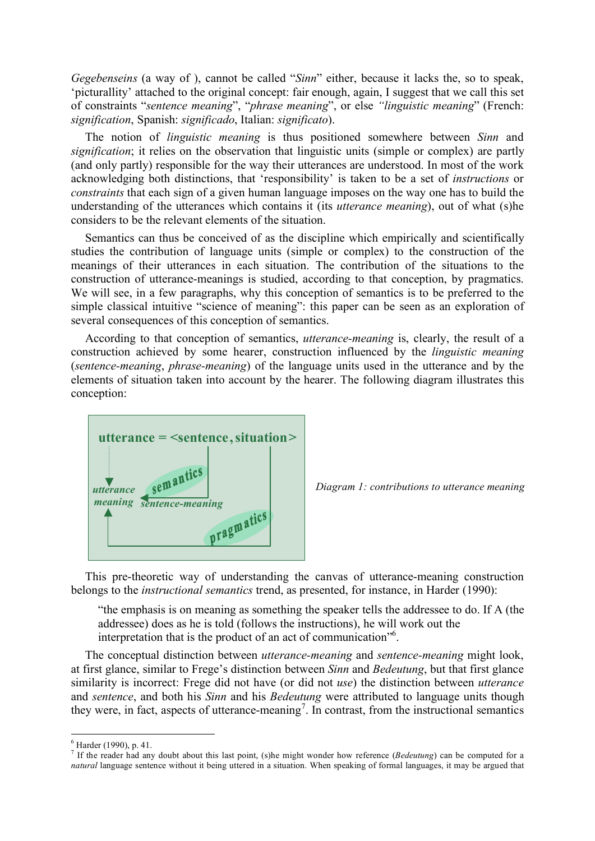*Gegebenseins* (a way of ), cannot be called "*Sinn*" either, because it lacks the, so to speak, 'picturallity' attached to the original concept: fair enough, again, I suggest that we call this set of constraints "*sentence meaning*", "*phrase meaning*", or else *"linguistic meaning*" (French: *signification*, Spanish: *significado*, Italian: *significato*).

The notion of *linguistic meaning* is thus positioned somewhere between *Sinn* and *signification*; it relies on the observation that linguistic units (simple or complex) are partly (and only partly) responsible for the way their utterances are understood. In most of the work acknowledging both distinctions, that 'responsibility' is taken to be a set of *instructions* or *constraints* that each sign of a given human language imposes on the way one has to build the understanding of the utterances which contains it (its *utterance meaning*), out of what (s)he considers to be the relevant elements of the situation.

Semantics can thus be conceived of as the discipline which empirically and scientifically studies the contribution of language units (simple or complex) to the construction of the meanings of their utterances in each situation. The contribution of the situations to the construction of utterance-meanings is studied, according to that conception, by pragmatics. We will see, in a few paragraphs, why this conception of semantics is to be preferred to the simple classical intuitive "science of meaning": this paper can be seen as an exploration of several consequences of this conception of semantics.

According to that conception of semantics, *utterance-meaning* is, clearly, the result of a construction achieved by some hearer, construction influenced by the *linguistic meaning*  (*sentence-meaning*, *phrase-meaning*) of the language units used in the utterance and by the elements of situation taken into account by the hearer. The following diagram illustrates this conception:



*Diagram 1: contributions to utterance meaning*

This pre-theoretic way of understanding the canvas of utterance-meaning construction belongs to the *instructional semantics* trend, as presented, for instance, in Harder (1990):

"the emphasis is on meaning as something the speaker tells the addressee to do. If A (the addressee) does as he is told (follows the instructions), he will work out the interpretation that is the product of an act of communication"6 .

The conceptual distinction between *utterance-meaning* and *sentence-meaning* might look, at first glance, similar to Frege's distinction between *Sinn* and *Bedeutung*, but that first glance similarity is incorrect: Frege did not have (or did not *use*) the distinction between *utterance* and *sentence*, and both his *Sinn* and his *Bedeutung* were attributed to language units though they were, in fact, aspects of utterance-meaning<sup>7</sup>. In contrast, from the instructional semantics

 $\frac{1}{6}$  $6$  Harder (1990), p. 41.

If the reader had any doubt about this last point, (s)he might wonder how reference (*Bedeutung*) can be computed for a *natural* language sentence without it being uttered in a situation. When speaking of formal languages, it may be argued that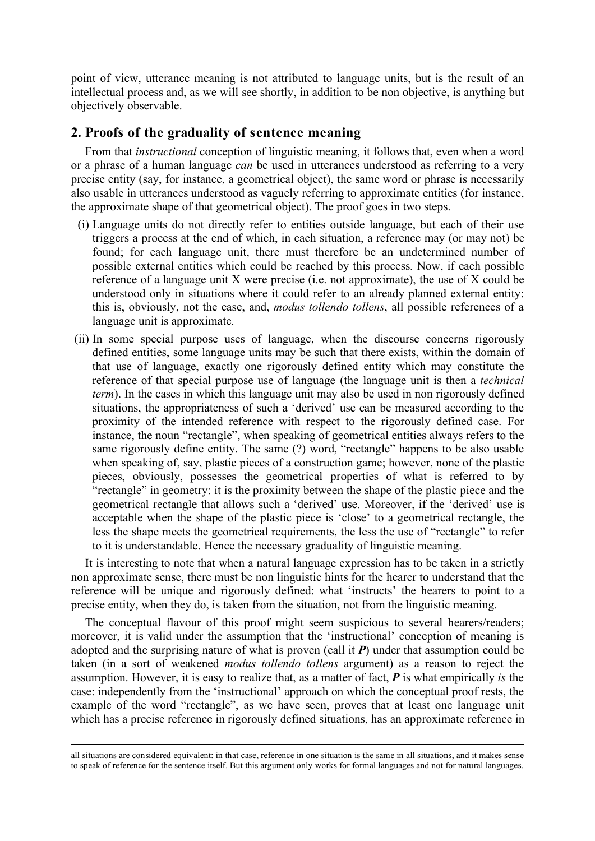point of view, utterance meaning is not attributed to language units, but is the result of an intellectual process and, as we will see shortly, in addition to be non objective, is anything but objectively observable.

# **2. Proofs of the graduality of sentence meaning**

From that *instructional* conception of linguistic meaning, it follows that, even when a word or a phrase of a human language *can* be used in utterances understood as referring to a very precise entity (say, for instance, a geometrical object), the same word or phrase is necessarily also usable in utterances understood as vaguely referring to approximate entities (for instance, the approximate shape of that geometrical object). The proof goes in two steps.

- (i) Language units do not directly refer to entities outside language, but each of their use triggers a process at the end of which, in each situation, a reference may (or may not) be found; for each language unit, there must therefore be an undetermined number of possible external entities which could be reached by this process. Now, if each possible reference of a language unit X were precise (i.e. not approximate), the use of X could be understood only in situations where it could refer to an already planned external entity: this is, obviously, not the case, and, *modus tollendo tollens*, all possible references of a language unit is approximate.
- (ii) In some special purpose uses of language, when the discourse concerns rigorously defined entities, some language units may be such that there exists, within the domain of that use of language, exactly one rigorously defined entity which may constitute the reference of that special purpose use of language (the language unit is then a *technical term*). In the cases in which this language unit may also be used in non rigorously defined situations, the appropriateness of such a 'derived' use can be measured according to the proximity of the intended reference with respect to the rigorously defined case. For instance, the noun "rectangle", when speaking of geometrical entities always refers to the same rigorously define entity. The same (?) word, "rectangle" happens to be also usable when speaking of, say, plastic pieces of a construction game; however, none of the plastic pieces, obviously, possesses the geometrical properties of what is referred to by "rectangle" in geometry: it is the proximity between the shape of the plastic piece and the geometrical rectangle that allows such a 'derived' use. Moreover, if the 'derived' use is acceptable when the shape of the plastic piece is 'close' to a geometrical rectangle, the less the shape meets the geometrical requirements, the less the use of "rectangle" to refer to it is understandable. Hence the necessary graduality of linguistic meaning.

It is interesting to note that when a natural language expression has to be taken in a strictly non approximate sense, there must be non linguistic hints for the hearer to understand that the reference will be unique and rigorously defined: what 'instructs' the hearers to point to a precise entity, when they do, is taken from the situation, not from the linguistic meaning.

The conceptual flavour of this proof might seem suspicious to several hearers/readers; moreover, it is valid under the assumption that the 'instructional' conception of meaning is adopted and the surprising nature of what is proven (call it *P*) under that assumption could be taken (in a sort of weakened *modus tollendo tollens* argument) as a reason to reject the assumption. However, it is easy to realize that, as a matter of fact, *P* is what empirically *is* the case: independently from the 'instructional' approach on which the conceptual proof rests, the example of the word "rectangle", as we have seen, proves that at least one language unit which has a precise reference in rigorously defined situations, has an approximate reference in

all situations are considered equivalent: in that case, reference in one situation is the same in all situations, and it makes sense to speak of reference for the sentence itself. But this argument only works for formal languages and not for natural languages.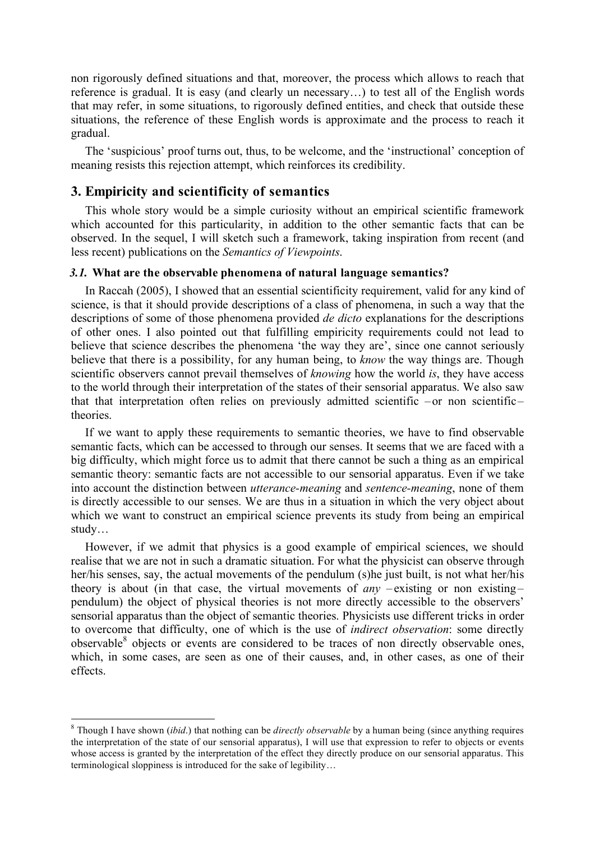non rigorously defined situations and that, moreover, the process which allows to reach that reference is gradual. It is easy (and clearly un necessary…) to test all of the English words that may refer, in some situations, to rigorously defined entities, and check that outside these situations, the reference of these English words is approximate and the process to reach it gradual.

The 'suspicious' proof turns out, thus, to be welcome, and the 'instructional' conception of meaning resists this rejection attempt, which reinforces its credibility.

# **3. Empiricity and scientificity of semantics**

This whole story would be a simple curiosity without an empirical scientific framework which accounted for this particularity, in addition to the other semantic facts that can be observed. In the sequel, I will sketch such a framework, taking inspiration from recent (and less recent) publications on the *Semantics of Viewpoints*.

#### *3.1.* **What are the observable phenomena of natural language semantics?**

In Raccah (2005), I showed that an essential scientificity requirement, valid for any kind of science, is that it should provide descriptions of a class of phenomena, in such a way that the descriptions of some of those phenomena provided *de dicto* explanations for the descriptions of other ones. I also pointed out that fulfilling empiricity requirements could not lead to believe that science describes the phenomena 'the way they are', since one cannot seriously believe that there is a possibility, for any human being, to *know* the way things are. Though scientific observers cannot prevail themselves of *knowing* how the world *is*, they have access to the world through their interpretation of the states of their sensorial apparatus. We also saw that that interpretation often relies on previously admitted scientific – or non scientific theories.

If we want to apply these requirements to semantic theories, we have to find observable semantic facts, which can be accessed to through our senses. It seems that we are faced with a big difficulty, which might force us to admit that there cannot be such a thing as an empirical semantic theory: semantic facts are not accessible to our sensorial apparatus. Even if we take into account the distinction between *utterance-meaning* and *sentence-meaning*, none of them is directly accessible to our senses. We are thus in a situation in which the very object about which we want to construct an empirical science prevents its study from being an empirical study…

However, if we admit that physics is a good example of empirical sciences, we should realise that we are not in such a dramatic situation. For what the physicist can observe through her/his senses, say, the actual movements of the pendulum (s)he just built, is not what her/his theory is about (in that case, the virtual movements of *any* – existing or non existing – pendulum) the object of physical theories is not more directly accessible to the observers' sensorial apparatus than the object of semantic theories. Physicists use different tricks in order to overcome that difficulty, one of which is the use of *indirect observation*: some directly observable<sup>8</sup> objects or events are considered to be traces of non directly observable ones, which, in some cases, are seen as one of their causes, and, in other cases, as one of their effects.

 $\frac{1}{8}$  Though I have shown (*ibid*.) that nothing can be *directly observable* by a human being (since anything requires the interpretation of the state of our sensorial apparatus), I will use that expression to refer to objects or events whose access is granted by the interpretation of the effect they directly produce on our sensorial apparatus. This terminological sloppiness is introduced for the sake of legibility…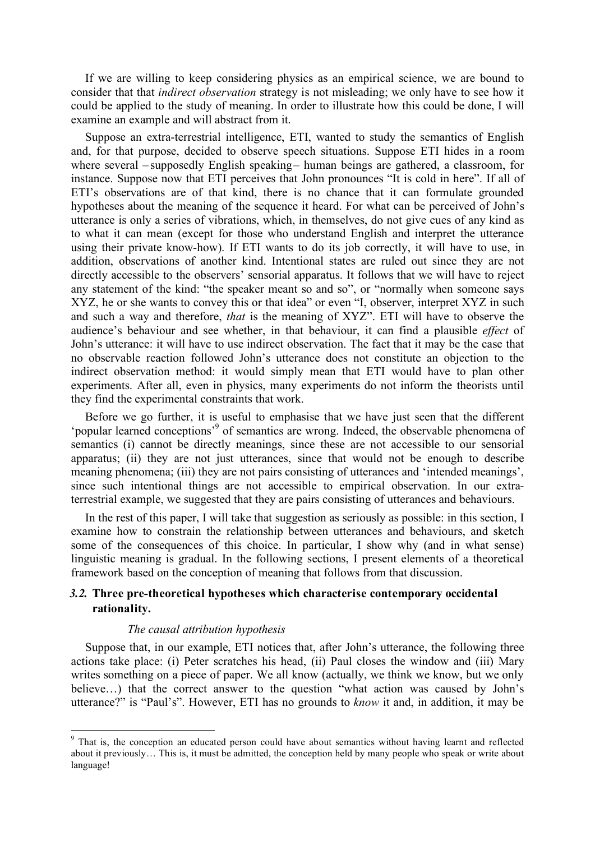If we are willing to keep considering physics as an empirical science, we are bound to consider that that *indirect observation* strategy is not misleading; we only have to see how it could be applied to the study of meaning. In order to illustrate how this could be done, I will examine an example and will abstract from it.

Suppose an extra-terrestrial intelligence, ETI, wanted to study the semantics of English and, for that purpose, decided to observe speech situations. Suppose ETI hides in a room where several – supposedly English speaking– human beings are gathered, a classroom, for instance. Suppose now that ETI perceives that John pronounces "It is cold in here". If all of ETI's observations are of that kind, there is no chance that it can formulate grounded hypotheses about the meaning of the sequence it heard. For what can be perceived of John's utterance is only a series of vibrations, which, in themselves, do not give cues of any kind as to what it can mean (except for those who understand English and interpret the utterance using their private know-how). If ETI wants to do its job correctly, it will have to use, in addition, observations of another kind. Intentional states are ruled out since they are not directly accessible to the observers' sensorial apparatus. It follows that we will have to reject any statement of the kind: "the speaker meant so and so", or "normally when someone says XYZ, he or she wants to convey this or that idea" or even "I, observer, interpret XYZ in such and such a way and therefore, *that* is the meaning of XYZ". ETI will have to observe the audience's behaviour and see whether, in that behaviour, it can find a plausible *effect* of John's utterance: it will have to use indirect observation. The fact that it may be the case that no observable reaction followed John's utterance does not constitute an objection to the indirect observation method: it would simply mean that ETI would have to plan other experiments. After all, even in physics, many experiments do not inform the theorists until they find the experimental constraints that work.

Before we go further, it is useful to emphasise that we have just seen that the different 'popular learned conceptions'<sup>9</sup> of semantics are wrong. Indeed, the observable phenomena of semantics (i) cannot be directly meanings, since these are not accessible to our sensorial apparatus; (ii) they are not just utterances, since that would not be enough to describe meaning phenomena; (iii) they are not pairs consisting of utterances and 'intended meanings', since such intentional things are not accessible to empirical observation. In our extraterrestrial example, we suggested that they are pairs consisting of utterances and behaviours.

In the rest of this paper, I will take that suggestion as seriously as possible: in this section, I examine how to constrain the relationship between utterances and behaviours, and sketch some of the consequences of this choice. In particular, I show why (and in what sense) linguistic meaning is gradual. In the following sections, I present elements of a theoretical framework based on the conception of meaning that follows from that discussion.

# *3.2.* **Three pre-theoretical hypotheses which characterise contemporary occidental rationality.**

#### *The causal attribution hypothesis*

Suppose that, in our example, ETI notices that, after John's utterance, the following three actions take place: (i) Peter scratches his head, (ii) Paul closes the window and (iii) Mary writes something on a piece of paper. We all know (actually, we think we know, but we only believe…) that the correct answer to the question "what action was caused by John's utterance?" is "Paul's". However, ETI has no grounds to *know* it and, in addition, it may be

<sup>-&</sup>lt;br>9 <sup>9</sup> That is, the conception an educated person could have about semantics without having learnt and reflected about it previously… This is, it must be admitted, the conception held by many people who speak or write about language!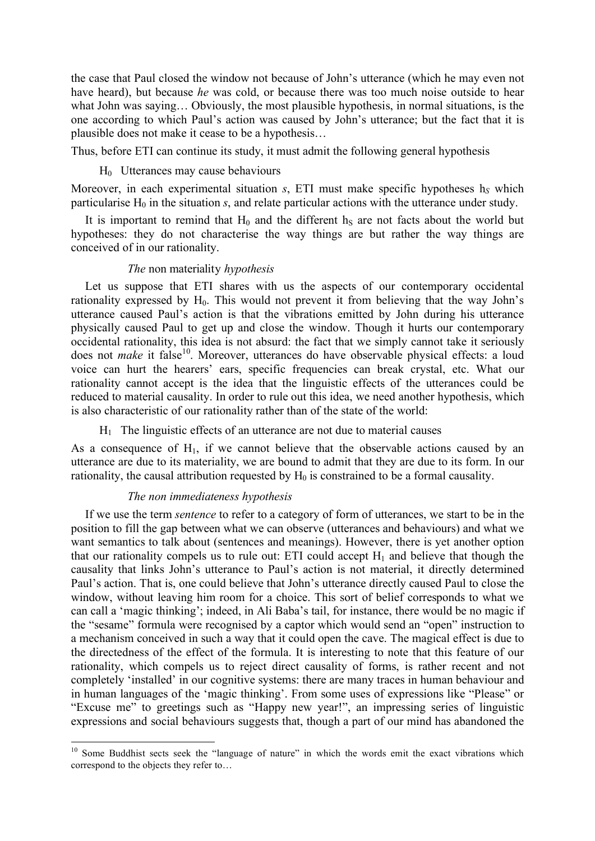the case that Paul closed the window not because of John's utterance (which he may even not have heard), but because *he* was cold, or because there was too much noise outside to hear what John was saying… Obviously, the most plausible hypothesis, in normal situations, is the one according to which Paul's action was caused by John's utterance; but the fact that it is plausible does not make it cease to be a hypothesis…

Thus, before ETI can continue its study, it must admit the following general hypothesis

# $H<sub>0</sub>$  Utterances may cause behaviours

Moreover, in each experimental situation  $s$ , ETI must make specific hypotheses  $h<sub>S</sub>$  which particularise  $H_0$  in the situation *s*, and relate particular actions with the utterance under study.

It is important to remind that  $H_0$  and the different hs are not facts about the world but hypotheses: they do not characterise the way things are but rather the way things are conceived of in our rationality.

# *The* non materiality *hypothesis*

Let us suppose that ETI shares with us the aspects of our contemporary occidental rationality expressed by  $H_0$ . This would not prevent it from believing that the way John's utterance caused Paul's action is that the vibrations emitted by John during his utterance physically caused Paul to get up and close the window. Though it hurts our contemporary occidental rationality, this idea is not absurd: the fact that we simply cannot take it seriously does not *make* it false<sup>10</sup>. Moreover, utterances do have observable physical effects: a loud voice can hurt the hearers' ears, specific frequencies can break crystal, etc. What our rationality cannot accept is the idea that the linguistic effects of the utterances could be reduced to material causality. In order to rule out this idea, we need another hypothesis, which is also characteristic of our rationality rather than of the state of the world:

# $H_1$  The linguistic effects of an utterance are not due to material causes

As a consequence of  $H<sub>1</sub>$ , if we cannot believe that the observable actions caused by an utterance are due to its materiality, we are bound to admit that they are due to its form. In our rationality, the causal attribution requested by  $H_0$  is constrained to be a formal causality.

# *The non immediateness hypothesis*

If we use the term *sentence* to refer to a category of form of utterances, we start to be in the position to fill the gap between what we can observe (utterances and behaviours) and what we want semantics to talk about (sentences and meanings). However, there is yet another option that our rationality compels us to rule out: ETI could accept  $H_1$  and believe that though the causality that links John's utterance to Paul's action is not material, it directly determined Paul's action. That is, one could believe that John's utterance directly caused Paul to close the window, without leaving him room for a choice. This sort of belief corresponds to what we can call a 'magic thinking'; indeed, in Ali Baba's tail, for instance, there would be no magic if the "sesame" formula were recognised by a captor which would send an "open" instruction to a mechanism conceived in such a way that it could open the cave. The magical effect is due to the directedness of the effect of the formula. It is interesting to note that this feature of our rationality, which compels us to reject direct causality of forms, is rather recent and not completely 'installed' in our cognitive systems: there are many traces in human behaviour and in human languages of the 'magic thinking'. From some uses of expressions like "Please" or "Excuse me" to greetings such as "Happy new year!", an impressing series of linguistic expressions and social behaviours suggests that, though a part of our mind has abandoned the

<sup>&</sup>lt;sup>10</sup> Some Buddhist sects seek the "language of nature" in which the words emit the exact vibrations which correspond to the objects they refer to…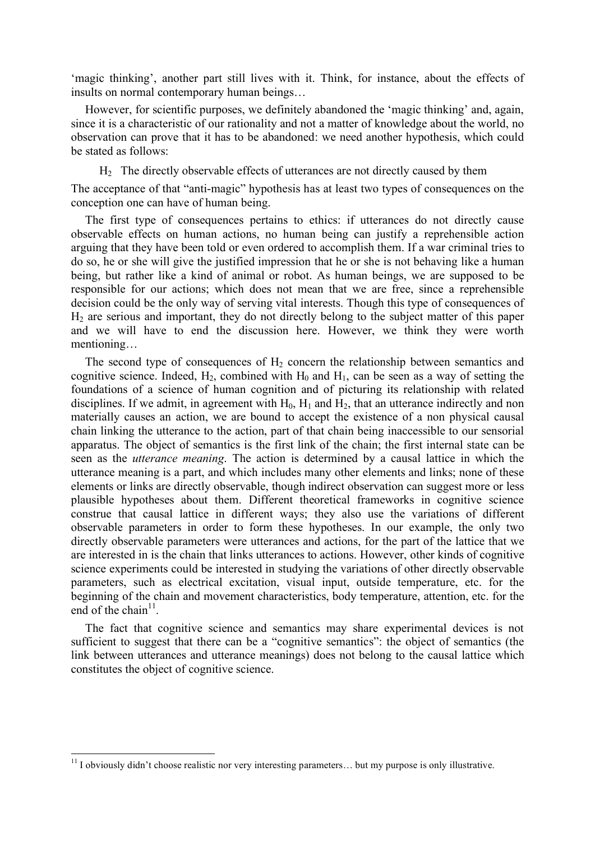'magic thinking', another part still lives with it. Think, for instance, about the effects of insults on normal contemporary human beings…

However, for scientific purposes, we definitely abandoned the 'magic thinking' and, again, since it is a characteristic of our rationality and not a matter of knowledge about the world, no observation can prove that it has to be abandoned: we need another hypothesis, which could be stated as follows:

 $H<sub>2</sub>$  The directly observable effects of utterances are not directly caused by them

The acceptance of that "anti-magic" hypothesis has at least two types of consequences on the conception one can have of human being.

The first type of consequences pertains to ethics: if utterances do not directly cause observable effects on human actions, no human being can justify a reprehensible action arguing that they have been told or even ordered to accomplish them. If a war criminal tries to do so, he or she will give the justified impression that he or she is not behaving like a human being, but rather like a kind of animal or robot. As human beings, we are supposed to be responsible for our actions; which does not mean that we are free, since a reprehensible decision could be the only way of serving vital interests. Though this type of consequences of H2 are serious and important, they do not directly belong to the subject matter of this paper and we will have to end the discussion here. However, we think they were worth mentioning…

The second type of consequences of  $H<sub>2</sub>$  concern the relationship between semantics and cognitive science. Indeed,  $H_2$ , combined with  $H_0$  and  $H_1$ , can be seen as a way of setting the foundations of a science of human cognition and of picturing its relationship with related disciplines. If we admit, in agreement with  $H_0$ ,  $H_1$  and  $H_2$ , that an utterance indirectly and non materially causes an action, we are bound to accept the existence of a non physical causal chain linking the utterance to the action, part of that chain being inaccessible to our sensorial apparatus. The object of semantics is the first link of the chain; the first internal state can be seen as the *utterance meaning*. The action is determined by a causal lattice in which the utterance meaning is a part, and which includes many other elements and links; none of these elements or links are directly observable, though indirect observation can suggest more or less plausible hypotheses about them. Different theoretical frameworks in cognitive science construe that causal lattice in different ways; they also use the variations of different observable parameters in order to form these hypotheses. In our example, the only two directly observable parameters were utterances and actions, for the part of the lattice that we are interested in is the chain that links utterances to actions. However, other kinds of cognitive science experiments could be interested in studying the variations of other directly observable parameters, such as electrical excitation, visual input, outside temperature, etc. for the beginning of the chain and movement characteristics, body temperature, attention, etc. for the end of the chain<sup>11</sup>.

The fact that cognitive science and semantics may share experimental devices is not sufficient to suggest that there can be a "cognitive semantics": the object of semantics (the link between utterances and utterance meanings) does not belong to the causal lattice which constitutes the object of cognitive science.

<sup>&</sup>lt;sup>11</sup> I obviously didn't choose realistic nor very interesting parameters... but my purpose is only illustrative.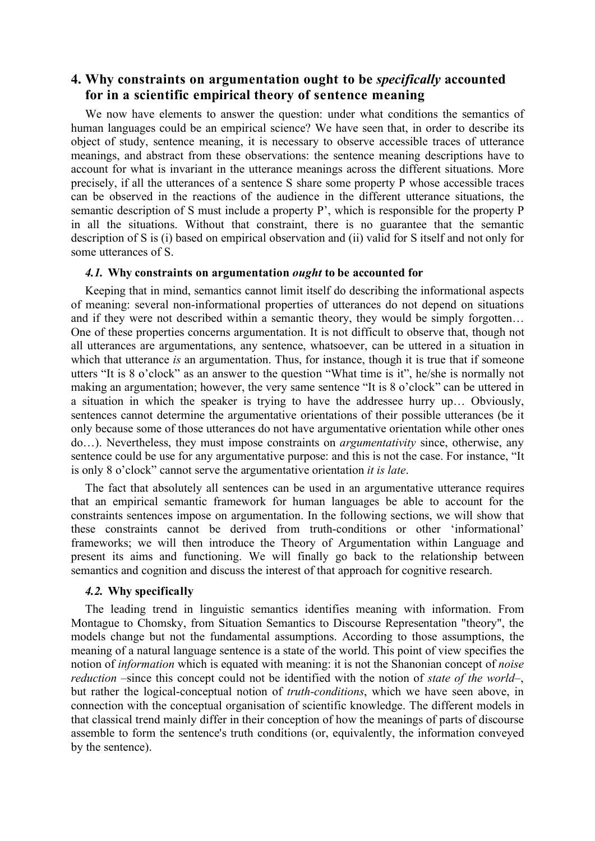# **4. Why constraints on argumentation ought to be** *specifically* **accounted for in a scientific empirical theory of sentence meaning**

We now have elements to answer the question: under what conditions the semantics of human languages could be an empirical science? We have seen that, in order to describe its object of study, sentence meaning, it is necessary to observe accessible traces of utterance meanings, and abstract from these observations: the sentence meaning descriptions have to account for what is invariant in the utterance meanings across the different situations. More precisely, if all the utterances of a sentence S share some property P whose accessible traces can be observed in the reactions of the audience in the different utterance situations, the semantic description of S must include a property P', which is responsible for the property P in all the situations. Without that constraint, there is no guarantee that the semantic description of S is (i) based on empirical observation and (ii) valid for S itself and not only for some utterances of S.

#### *4.1.* **Why constraints on argumentation** *ought* **to be accounted for**

Keeping that in mind, semantics cannot limit itself do describing the informational aspects of meaning: several non-informational properties of utterances do not depend on situations and if they were not described within a semantic theory, they would be simply forgotten… One of these properties concerns argumentation. It is not difficult to observe that, though not all utterances are argumentations, any sentence, whatsoever, can be uttered in a situation in which that utterance *is* an argumentation. Thus, for instance, though it is true that if someone utters "It is 8 o'clock" as an answer to the question "What time is it", he/she is normally not making an argumentation; however, the very same sentence "It is 8 o'clock" can be uttered in a situation in which the speaker is trying to have the addressee hurry up… Obviously, sentences cannot determine the argumentative orientations of their possible utterances (be it only because some of those utterances do not have argumentative orientation while other ones do…). Nevertheless, they must impose constraints on *argumentativity* since, otherwise, any sentence could be use for any argumentative purpose: and this is not the case. For instance, "It is only 8 o'clock" cannot serve the argumentative orientation *it is late*.

The fact that absolutely all sentences can be used in an argumentative utterance requires that an empirical semantic framework for human languages be able to account for the constraints sentences impose on argumentation. In the following sections, we will show that these constraints cannot be derived from truth-conditions or other 'informational' frameworks; we will then introduce the Theory of Argumentation within Language and present its aims and functioning. We will finally go back to the relationship between semantics and cognition and discuss the interest of that approach for cognitive research.

#### *4.2.* **Why specifically**

The leading trend in linguistic semantics identifies meaning with information. From Montague to Chomsky, from Situation Semantics to Discourse Representation "theory", the models change but not the fundamental assumptions. According to those assumptions, the meaning of a natural language sentence is a state of the world. This point of view specifies the notion of *information* which is equated with meaning: it is not the Shanonian concept of *noise reduction* –since this concept could not be identified with the notion of *state of the world*–, but rather the logical-conceptual notion of *truth-conditions*, which we have seen above, in connection with the conceptual organisation of scientific knowledge. The different models in that classical trend mainly differ in their conception of how the meanings of parts of discourse assemble to form the sentence's truth conditions (or, equivalently, the information conveyed by the sentence).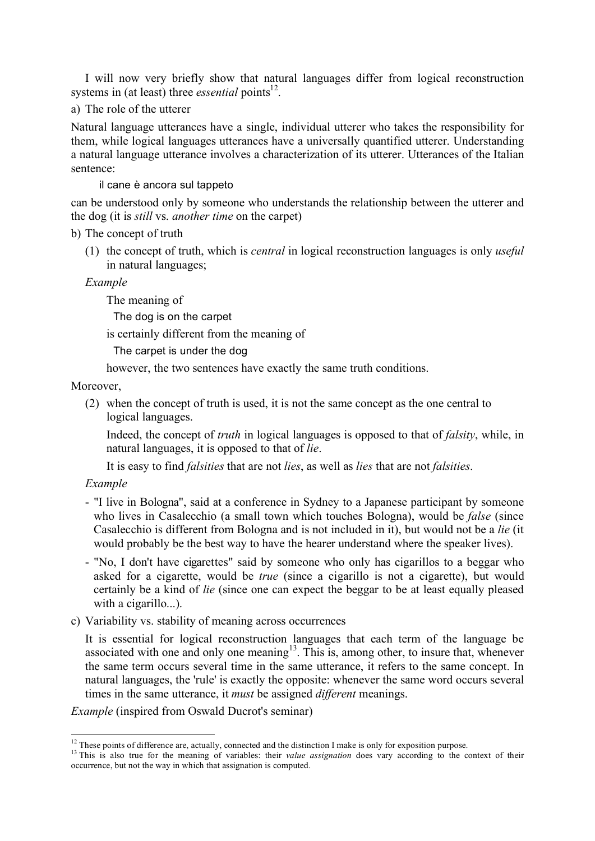I will now very briefly show that natural languages differ from logical reconstruction systems in (at least) three *essential* points<sup>12</sup>.

a) The role of the utterer

Natural language utterances have a single, individual utterer who takes the responsibility for them, while logical languages utterances have a universally quantified utterer. Understanding a natural language utterance involves a characterization of its utterer. Utterances of the Italian sentence:

il cane è ancora sul tappeto

can be understood only by someone who understands the relationship between the utterer and the dog (it is *still* vs. *another time* on the carpet)

b) The concept of truth

(1) the concept of truth, which is *central* in logical reconstruction languages is only *useful* in natural languages;

*Example*

The meaning of

The dog is on the carpet

is certainly different from the meaning of

The carpet is under the dog

however, the two sentences have exactly the same truth conditions.

Moreover,

(2) when the concept of truth is used, it is not the same concept as the one central to logical languages.

Indeed, the concept of *truth* in logical languages is opposed to that of *falsity*, while, in natural languages, it is opposed to that of *lie*.

It is easy to find *falsities* that are not *lies*, as well as *lies* that are not *falsities*.

*Example*

- "I live in Bologna", said at a conference in Sydney to a Japanese participant by someone who lives in Casalecchio (a small town which touches Bologna), would be *false* (since Casalecchio is different from Bologna and is not included in it), but would not be a *lie* (it would probably be the best way to have the hearer understand where the speaker lives).
- "No, I don't have cigarettes" said by someone who only has cigarillos to a beggar who asked for a cigarette, would be *true* (since a cigarillo is not a cigarette), but would certainly be a kind of *lie* (since one can expect the beggar to be at least equally pleased with a cigarillo...).
- c) Variability vs. stability of meaning across occurrences

It is essential for logical reconstruction languages that each term of the language be associated with one and only one meaning<sup>13</sup>. This is, among other, to insure that, whenever the same term occurs several time in the same utterance, it refers to the same concept. In natural languages, the 'rule' is exactly the opposite: whenever the same word occurs several times in the same utterance, it *must* be assigned *different* meanings.

*Example* (inspired from Oswald Ducrot's seminar)

<sup>&</sup>lt;sup>12</sup> These points of difference are, actually, connected and the distinction I make is only for exposition purpose.<br><sup>13</sup> This is also true for the meaning of variables: their *value assignation* does vary according to the occurrence, but not the way in which that assignation is computed.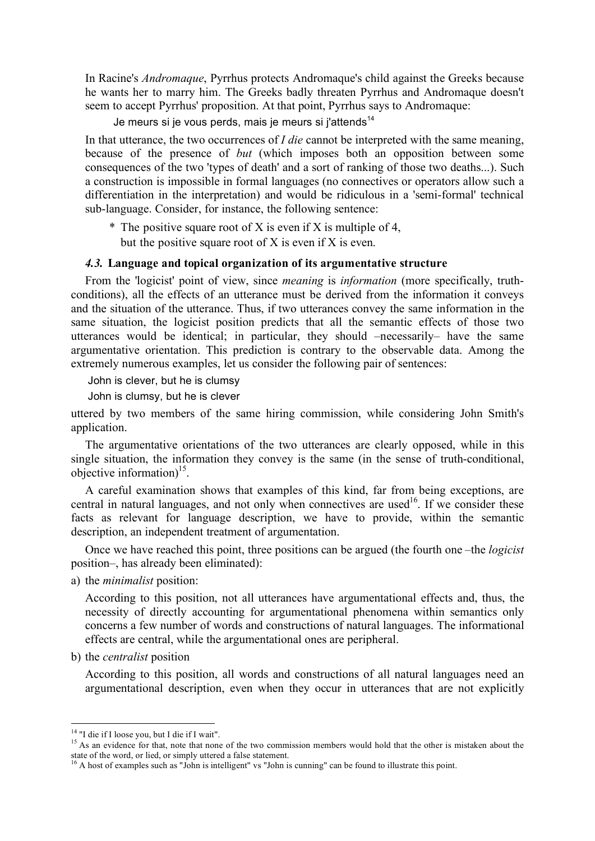In Racine's *Andromaque*, Pyrrhus protects Andromaque's child against the Greeks because he wants her to marry him. The Greeks badly threaten Pyrrhus and Andromaque doesn't seem to accept Pyrrhus' proposition. At that point, Pyrrhus says to Andromaque:

Je meurs si je vous perds, mais je meurs si j'attends<sup>14</sup>

In that utterance, the two occurrences of *I die* cannot be interpreted with the same meaning, because of the presence of *but* (which imposes both an opposition between some consequences of the two 'types of death' and a sort of ranking of those two deaths...). Such a construction is impossible in formal languages (no connectives or operators allow such a differentiation in the interpretation) and would be ridiculous in a 'semi-formal' technical sub-language. Consider, for instance, the following sentence:

\* The positive square root of X is even if X is multiple of 4, but the positive square root of  $X$  is even if  $X$  is even.

#### *4.3.* **Language and topical organization of its argumentative structure**

From the 'logicist' point of view, since *meaning* is *information* (more specifically, truthconditions), all the effects of an utterance must be derived from the information it conveys and the situation of the utterance. Thus, if two utterances convey the same information in the same situation, the logicist position predicts that all the semantic effects of those two utterances would be identical; in particular, they should –necessarily– have the same argumentative orientation. This prediction is contrary to the observable data. Among the extremely numerous examples, let us consider the following pair of sentences:

John is clever, but he is clumsy

John is clumsy, but he is clever

uttered by two members of the same hiring commission, while considering John Smith's application.

The argumentative orientations of the two utterances are clearly opposed, while in this single situation, the information they convey is the same (in the sense of truth-conditional, objective information) $15$ .

A careful examination shows that examples of this kind, far from being exceptions, are central in natural languages, and not only when connectives are used<sup>16</sup>. If we consider these facts as relevant for language description, we have to provide, within the semantic description, an independent treatment of argumentation.

Once we have reached this point, three positions can be argued (the fourth one –the *logicist*  position–, has already been eliminated):

a) the *minimalist* position:

According to this position, not all utterances have argumentational effects and, thus, the necessity of directly accounting for argumentational phenomena within semantics only concerns a few number of words and constructions of natural languages. The informational effects are central, while the argumentational ones are peripheral.

b) the *centralist* position

According to this position, all words and constructions of all natural languages need an argumentational description, even when they occur in utterances that are not explicitly

<sup>&</sup>lt;sup>14</sup> "I die if I loose you, but I die if I wait".<br><sup>15</sup> As an evidence for that, note that none of the two commission members would hold that the other is mistaken about the state of the word, or lied, or simply uttered a false statement.

<sup>&</sup>lt;sup>16</sup> A host of examples such as "John is intelligent" vs "John is cunning" can be found to illustrate this point.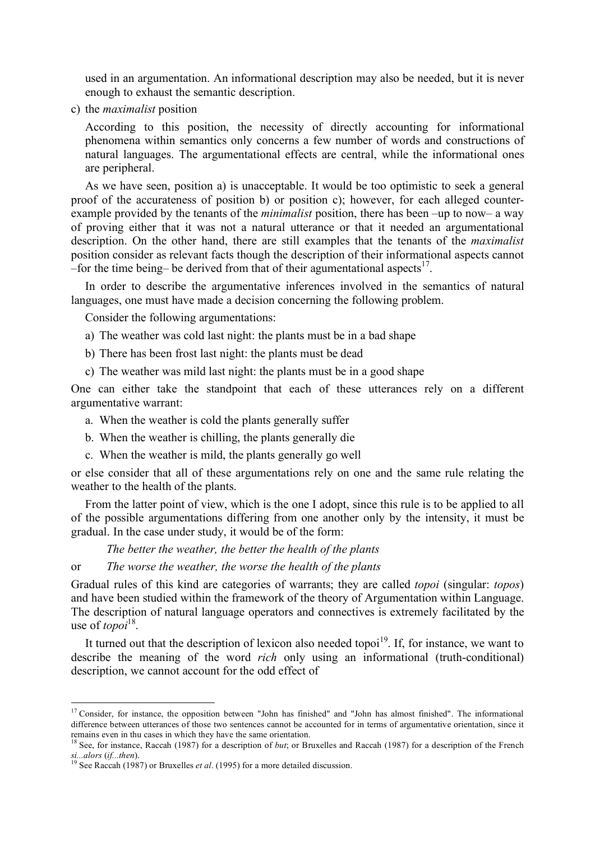used in an argumentation. An informational description may also be needed, but it is never enough to exhaust the semantic description.

c) the *maximalist* position

According to this position, the necessity of directly accounting for informational phenomena within semantics only concerns a few number of words and constructions of natural languages. The argumentational effects are central, while the informational ones are peripheral.

As we have seen, position a) is unacceptable. It would be too optimistic to seek a general proof of the accurateness of position b) or position c); however, for each alleged counterexample provided by the tenants of the *minimalist* position, there has been –up to now– a way of proving either that it was not a natural utterance or that it needed an argumentational description. On the other hand, there are still examples that the tenants of the *maximalist* position consider as relevant facts though the description of their informational aspects cannot –for the time being– be derived from that of their agumentational aspects $^{17}$ .

In order to describe the argumentative inferences involved in the semantics of natural languages, one must have made a decision concerning the following problem.

Consider the following argumentations:

- a) The weather was cold last night: the plants must be in a bad shape
- b) There has been frost last night: the plants must be dead
- c) The weather was mild last night: the plants must be in a good shape

One can either take the standpoint that each of these utterances rely on a different argumentative warrant:

- a. When the weather is cold the plants generally suffer
- b. When the weather is chilling, the plants generally die
- c. When the weather is mild, the plants generally go well

or else consider that all of these argumentations rely on one and the same rule relating the weather to the health of the plants.

From the latter point of view, which is the one I adopt, since this rule is to be applied to all of the possible argumentations differing from one another only by the intensity, it must be gradual. In the case under study, it would be of the form:

*The better the weather, the better the health of the plants*

# or *The worse the weather, the worse the health of the plants*

Gradual rules of this kind are categories of warrants; they are called *topoi* (singular: *topos*) and have been studied within the framework of the theory of Argumentation within Language. The description of natural language operators and connectives is extremely facilitated by the use of *topoi*<sup>18</sup>.

It turned out that the description of lexicon also needed topoi<sup>19</sup>. If, for instance, we want to describe the meaning of the word *rich* only using an informational (truth-conditional) description, we cannot account for the odd effect of

<sup>&</sup>lt;sup>17</sup> Consider, for instance, the opposition between "John has finished" and "John has almost finished". The informational difference between utterances of those two sentences cannot be accounted for in terms of argumentative orientation, since it remains even in thu cases in which they have the same orientation.<br><sup>18</sup> See, for instance, Raccah (1987) for a description of *but*; or Bruxelles and Raccah (1987) for a description of the French

*si...alors* (*if...then*). <sup>19</sup> See Raccah (1987) or Bruxelles *et al.* (1995) for a more detailed discussion.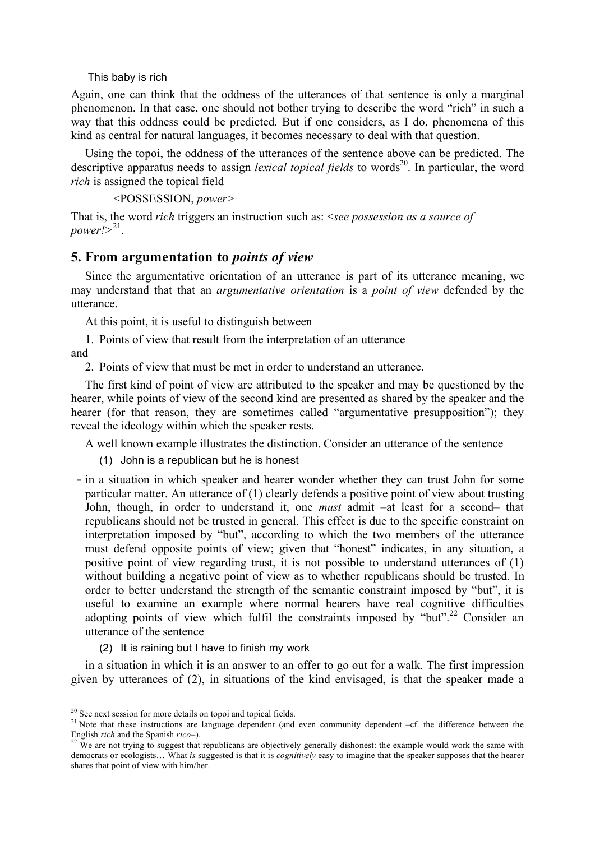# This baby is rich

Again, one can think that the oddness of the utterances of that sentence is only a marginal phenomenon. In that case, one should not bother trying to describe the word "rich" in such a way that this oddness could be predicted. But if one considers, as I do, phenomena of this kind as central for natural languages, it becomes necessary to deal with that question.

Using the topoi, the oddness of the utterances of the sentence above can be predicted. The descriptive apparatus needs to assign *lexical topical fields* to words<sup>20</sup>. In particular, the word *rich* is assigned the topical field

<POSSESSION, *power>*

That is, the word *rich* triggers an instruction such as: <*see possession as a source of power!>*21.

# **5. From argumentation to** *points of view*

Since the argumentative orientation of an utterance is part of its utterance meaning, we may understand that that an *argumentative orientation* is a *point of view* defended by the utterance.

At this point, it is useful to distinguish between

1. Points of view that result from the interpretation of an utterance and

2. Points of view that must be met in order to understand an utterance.

The first kind of point of view are attributed to the speaker and may be questioned by the hearer, while points of view of the second kind are presented as shared by the speaker and the hearer (for that reason, they are sometimes called "argumentative presupposition"); they reveal the ideology within which the speaker rests.

A well known example illustrates the distinction. Consider an utterance of the sentence

(1) John is a republican but he is honest

- in a situation in which speaker and hearer wonder whether they can trust John for some particular matter. An utterance of (1) clearly defends a positive point of view about trusting John, though, in order to understand it, one *must* admit –at least for a second– that republicans should not be trusted in general. This effect is due to the specific constraint on interpretation imposed by "but", according to which the two members of the utterance must defend opposite points of view; given that "honest" indicates, in any situation, a positive point of view regarding trust, it is not possible to understand utterances of (1) without building a negative point of view as to whether republicans should be trusted. In order to better understand the strength of the semantic constraint imposed by "but", it is useful to examine an example where normal hearers have real cognitive difficulties adopting points of view which fulfil the constraints imposed by "but".<sup>22</sup> Consider an utterance of the sentence
	- (2) It is raining but I have to finish my work

in a situation in which it is an answer to an offer to go out for a walk. The first impression given by utterances of (2), in situations of the kind envisaged, is that the speaker made a

<sup>&</sup>lt;sup>20</sup> See next session for more details on topoi and topical fields.<br><sup>21</sup> Note that these instructions are language dependent (and even community dependent –cf. the difference between the English *rich* and the Spanish *rico*–).<br><sup>22</sup> We are not trying to suggest that republicans are objectively generally dishonest: the example would work the same with

democrats or ecologists… What *is* suggested is that it is *cognitively* easy to imagine that the speaker supposes that the hearer shares that point of view with him/her.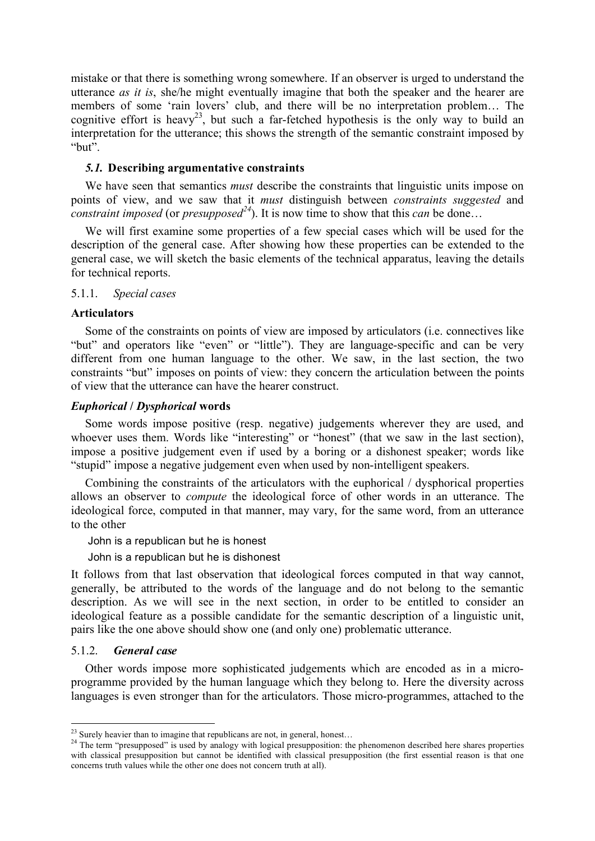mistake or that there is something wrong somewhere. If an observer is urged to understand the utterance *as it is*, she/he might eventually imagine that both the speaker and the hearer are members of some 'rain lovers' club, and there will be no interpretation problem… The cognitive effort is heavy<sup>23</sup>, but such a far-fetched hypothesis is the only way to build an interpretation for the utterance; this shows the strength of the semantic constraint imposed by "but".

#### *5.1.* **Describing argumentative constraints**

We have seen that semantics *must* describe the constraints that linguistic units impose on points of view, and we saw that it *must* distinguish between *constraints suggested* and *constraint imposed* (or *presupposed<sup>24</sup>*). It is now time to show that this *can* be done…

We will first examine some properties of a few special cases which will be used for the description of the general case. After showing how these properties can be extended to the general case, we will sketch the basic elements of the technical apparatus, leaving the details for technical reports.

#### 5.1.1. *Special cases*

#### **Articulators**

Some of the constraints on points of view are imposed by articulators (i.e. connectives like "but" and operators like "even" or "little"). They are language-specific and can be very different from one human language to the other. We saw, in the last section, the two constraints "but" imposes on points of view: they concern the articulation between the points of view that the utterance can have the hearer construct.

# *Euphorical* **/** *Dysphorical* **words**

Some words impose positive (resp. negative) judgements wherever they are used, and whoever uses them. Words like "interesting" or "honest" (that we saw in the last section), impose a positive judgement even if used by a boring or a dishonest speaker; words like "stupid" impose a negative judgement even when used by non-intelligent speakers.

Combining the constraints of the articulators with the euphorical / dysphorical properties allows an observer to *compute* the ideological force of other words in an utterance. The ideological force, computed in that manner, may vary, for the same word, from an utterance to the other

John is a republican but he is honest

John is a republican but he is dishonest

It follows from that last observation that ideological forces computed in that way cannot, generally, be attributed to the words of the language and do not belong to the semantic description. As we will see in the next section, in order to be entitled to consider an ideological feature as a possible candidate for the semantic description of a linguistic unit, pairs like the one above should show one (and only one) problematic utterance.

#### 5.1.2. *General case*

Other words impose more sophisticated judgements which are encoded as in a microprogramme provided by the human language which they belong to. Here the diversity across languages is even stronger than for the articulators. Those micro-programmes, attached to the

<sup>&</sup>lt;sup>23</sup> Surely heavier than to imagine that republicans are not, in general, honest...<br><sup>24</sup> The term "presupposed" is used by analogy with logical presupposition: the phenomenon described here shares properties with classical presupposition but cannot be identified with classical presupposition (the first essential reason is that one concerns truth values while the other one does not concern truth at all).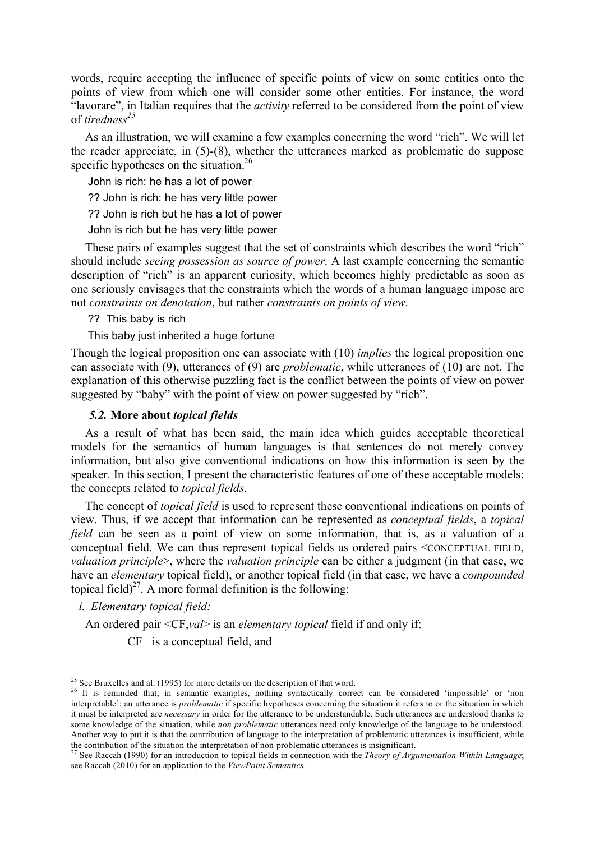words, require accepting the influence of specific points of view on some entities onto the points of view from which one will consider some other entities. For instance, the word "lavorare", in Italian requires that the *activity* referred to be considered from the point of view of *tiredness<sup>25</sup>*

As an illustration, we will examine a few examples concerning the word "rich". We will let the reader appreciate, in (5)-(8), whether the utterances marked as problematic do suppose specific hypotheses on the situation.<sup>26</sup>

John is rich: he has a lot of power

?? John is rich: he has very little power

?? John is rich but he has a lot of power

John is rich but he has very little power

These pairs of examples suggest that the set of constraints which describes the word "rich" should include *seeing possession as source of power*. A last example concerning the semantic description of "rich" is an apparent curiosity, which becomes highly predictable as soon as one seriously envisages that the constraints which the words of a human language impose are not *constraints on denotation*, but rather *constraints on points of view*.

#### ?? This baby is rich

This baby just inherited a huge fortune

Though the logical proposition one can associate with (10) *implies* the logical proposition one can associate with (9), utterances of (9) are *problematic*, while utterances of (10) are not. The explanation of this otherwise puzzling fact is the conflict between the points of view on power suggested by "baby" with the point of view on power suggested by "rich".

#### *5.2.* **More about** *topical fields*

As a result of what has been said, the main idea which guides acceptable theoretical models for the semantics of human languages is that sentences do not merely convey information, but also give conventional indications on how this information is seen by the speaker. In this section, I present the characteristic features of one of these acceptable models: the concepts related to *topical fields*.

The concept of *topical field* is used to represent these conventional indications on points of view. Thus, if we accept that information can be represented as *conceptual fields*, a *topical field* can be seen as a point of view on some information, that is, as a valuation of a conceptual field. We can thus represent topical fields as ordered pairs <CONCEPTUAL FIELD, *valuation principle*>, where the *valuation principle* can be either a judgment (in that case, we have an *elementary* topical field), or another topical field (in that case, we have a *compounded*  topical field) $^{27}$ . A more formal definition is the following:

*i. Elementary topical field:*

An ordered pair <CF,*val*> is an *elementary topical* field if and only if:

CF is a conceptual field, and

 $25$  See Bruxelles and al. (1995) for more details on the description of that word.

<sup>&</sup>lt;sup>26</sup> It is reminded that, in semantic examples, nothing syntactically correct can be considered 'impossible' or 'non interpretable': an utterance is *problematic* if specific hypotheses concerning the situation it refers to or the situation in which it must be interpreted are *necessary* in order for the utterance to be understandable. Such utterances are understood thanks to some knowledge of the situation, while *non problematic* utterances need only knowledge of the language to be understood. Another way to put it is that the contribution of language to the interpretation of problematic utterances is insufficient, while

the contribution of the situation the interpretation of non-problematic utterances is insignificant.<br><sup>27</sup> See Raccah (1990) for an introduction to topical fields in connection with the *Theory of Argumentation Within Lang* see Raccah (2010) for an application to the *ViewPoint Semantics*.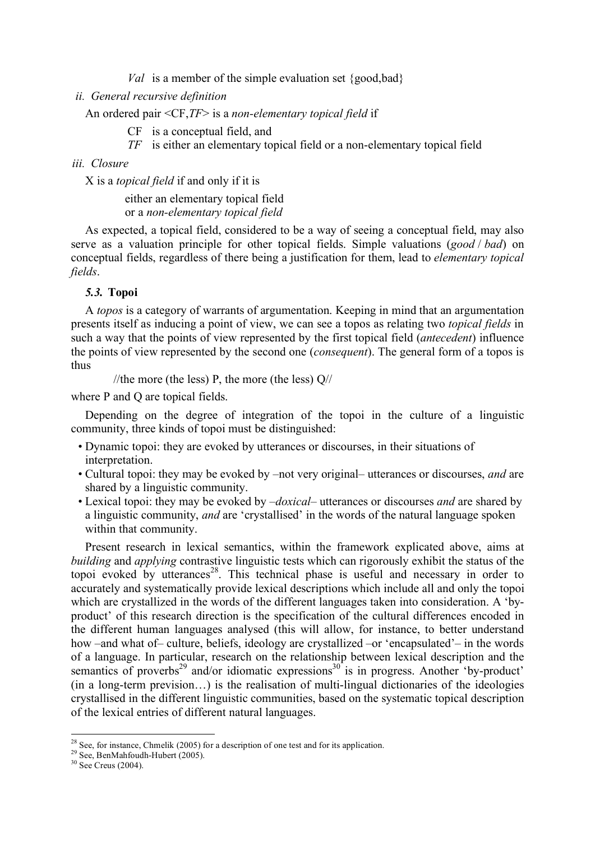*Val* is a member of the simple evaluation set {good,bad}

*ii. General recursive definition*

An ordered pair <CF,*TF*> is a *non-elementary topical field* if

CF is a conceptual field, and

*TF* is either an elementary topical field or a non-elementary topical field

# *iii. Closure*

X is a *topical field* if and only if it is

either an elementary topical field or a *non-elementary topical field*

As expected, a topical field, considered to be a way of seeing a conceptual field, may also serve as a valuation principle for other topical fields. Simple valuations (*good* / *bad*) on conceptual fields, regardless of there being a justification for them, lead to *elementary topical fields*.

# *5.3.* **Topoi**

A *topos* is a category of warrants of argumentation. Keeping in mind that an argumentation presents itself as inducing a point of view, we can see a topos as relating two *topical fields* in such a way that the points of view represented by the first topical field (*antecedent*) influence the points of view represented by the second one (*consequent*). The general form of a topos is thus

//the more (the less) P, the more (the less)  $Q$ //

where P and Q are topical fields.

Depending on the degree of integration of the topoi in the culture of a linguistic community, three kinds of topoi must be distinguished:

- Dynamic topoi: they are evoked by utterances or discourses, in their situations of interpretation.
- Cultural topoi: they may be evoked by –not very original– utterances or discourses, *and* are shared by a linguistic community.
- Lexical topoi: they may be evoked by –*doxical* utterances or discourses *and* are shared by a linguistic community, *and* are 'crystallised' in the words of the natural language spoken within that community.

Present research in lexical semantics, within the framework explicated above, aims at *building* and *applying* contrastive linguistic tests which can rigorously exhibit the status of the topoi evoked by utterances<sup>28</sup>. This technical phase is useful and necessary in order to accurately and systematically provide lexical descriptions which include all and only the topoi which are crystallized in the words of the different languages taken into consideration. A 'byproduct' of this research direction is the specification of the cultural differences encoded in the different human languages analysed (this will allow, for instance, to better understand how –and what of– culture, beliefs, ideology are crystallized –or 'encapsulated'– in the words of a language. In particular, research on the relationship between lexical description and the semantics of proverbs<sup>29</sup> and/or idiomatic expressions<sup>30</sup> is in progress. Another 'by-product' (in a long-term prevision…) is the realisation of multi-lingual dictionaries of the ideologies crystallised in the different linguistic communities, based on the systematic topical description of the lexical entries of different natural languages.

 $^{28}$  See, for instance, Chmelik (2005) for a description of one test and for its application.

<sup>&</sup>lt;sup>29</sup> See, BenMahfoudh-Hubert (2005).<br><sup>30</sup> See Creus (2004).